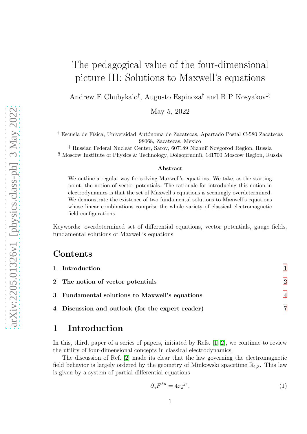# The pedagogical value of the four-dimensional picture III: Solutions to Maxwell's equations

Andrew E Chubykalo† , Augusto Espinoza† and B P Kosyakov‡§

May 5, 2022

<sup>†</sup> Escuela de Física, Universidad Autónoma de Zacatecas, Apartado Postal C-580 Zacatecas 98068, Zacatecas, Mexico

‡ Russian Federal Nuclear Center, Sarov, 607189 Nizhni˘ı Novgorod Region, Russia § Moscow Institute of Physics & Technology, Dolgoprudniĭ, 141700 Moscow Region, Russia

#### Abstract

We outline a regular way for solving Maxwell's equations. We take, as the starting point, the notion of vector potentials. The rationale for introducing this notion in electrodynamics is that the set of Maxwell's equations is seemingly overdetermined. We demonstrate the existence of two fundamental solutions to Maxwell's equations whose linear combinations comprise the whole variety of classical electromagnetic field configurations.

Keywords: overdetermined set of differential equations, vector potentials, gauge fields, fundamental solutions of Maxwell's equations

### Contents

| 1 Introduction                                   |                             |
|--------------------------------------------------|-----------------------------|
| 2 The notion of vector potentials                | $\mathbf 2$                 |
| 3 Fundamental solutions to Maxwell's equations   | $\boldsymbol{\vartriangle}$ |
| 4 Discussion and outlook (for the expert reader) |                             |

# <span id="page-0-0"></span>1 Introduction

In this, third, paper of a series of papers, initiated by Refs. [\[1,](#page-8-0) [2\]](#page-8-1), we continue to review the utility of four-dimensional concepts in classical electrodynamics.

The discussion of Ref. [\[2\]](#page-8-1) made its clear that the law governing the electromagnetic field behavior is largely ordered by the geometry of Minkowski spacetime  $\mathbb{R}_{1,3}$ . This law is given by a system of partial differential equations

<span id="page-0-1"></span>
$$
\partial_{\lambda} F^{\lambda \mu} = 4\pi j^{\mu} \,, \tag{1}
$$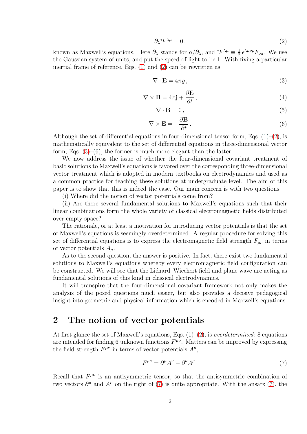<span id="page-1-1"></span>
$$
\partial_{\lambda} {}^*F^{\lambda \mu} = 0 \,, \tag{2}
$$

known as Maxwell's equations. Here  $\partial_{\lambda}$  stands for  $\partial/\partial_{\lambda}$ , and  $*F^{\lambda\mu} \equiv \frac{1}{2}$  $\frac{1}{2} \, \epsilon^{\lambda\mu\nu\rho} F_{\nu\rho}$ . We use the Gaussian system of units, and put the speed of light to be 1. With fixing a particular inertial frame of reference, Eqs. [\(1\)](#page-0-1) and [\(2\)](#page-1-1) can be rewritten as

<span id="page-1-2"></span>
$$
\nabla \cdot \mathbf{E} = 4\pi \varrho, \tag{3}
$$

$$
\nabla \times \mathbf{B} = 4\pi \mathbf{j} + \frac{\partial \mathbf{E}}{\partial t},
$$
\n(4)

<span id="page-1-5"></span>
$$
\nabla \cdot \mathbf{B} = 0, \tag{5}
$$

<span id="page-1-3"></span>
$$
\nabla \times \mathbf{E} = -\frac{\partial \mathbf{B}}{\partial t}.
$$
 (6)

Although the set of differential equations in four-dimensional tensor form, Eqs.  $(1)-(2)$  $(1)-(2)$ , is mathematically equivalent to the set of differential equations in three-dimensional vector form, Eqs.  $(3)$ – $(6)$ , the former is much more elegant than the latter.

We now address the issue of whether the four-dimensional covariant treatment of basic solutions to Maxwell's equations is favored over the corresponding three-dimensional vector treatment which is adopted in modern textbooks on electrodynamics and used as a common practice for teaching these solutions at undergraduate level. The aim of this paper is to show that this is indeed the case. Our main concern is with two questions:

(i) Where did the notion of vector potentials come from?

(ii) Are there several fundamental solutions to Maxwell's equations such that their linear combinations form the whole variety of classical electromagnetic fields distributed over empty space?

The rationale, or at least a motivation for introducing vector potentials is that the set of Maxwell's equations is seemingly overdetermined. A regular procedure for solving this set of differential equations is to express the electromagnetic field strength  $F_{\mu\nu}$  in terms of vector potentials  $A_\mu$ .

As to the second question, the answer is positive. In fact, there exist two fundamental solutions to Maxwell's equations whereby every electromagnetic field configuration can be constructed. We will see that the Lienard–Wiechert field and plane wave are acting as fundamental solutions of this kind in classical electrodynamics.

It will transpire that the four-dimensional covariant framework not only makes the analysis of the posed questions much easier, but also provides a decisive pedagogical insight into geometric and physical information which is encoded in Maxwell's equations.

## <span id="page-1-0"></span>2 The notion of vector potentials

At first glance the set of Maxwell's equations, Eqs.  $(1)-(2)$  $(1)-(2)$ , is *overdetermined*: 8 equations are intended for finding 6 unknown functions  $F^{\mu\nu}$ . Matters can be improved by expressing the field strength  $F^{\mu\nu}$  in terms of vector potentials  $A^{\mu}$ ,

<span id="page-1-4"></span>
$$
F^{\mu\nu} = \partial^{\mu}A^{\nu} - \partial^{\nu}A^{\mu}.
$$
 (7)

Recall that  $F^{\mu\nu}$  is an antisymmetric tensor, so that the antisymmetric combination of two vectors  $\partial^{\mu}$  and  $A^{\nu}$  on the right of [\(7\)](#page-1-4) is quite appropriate. With the ansatz (7), the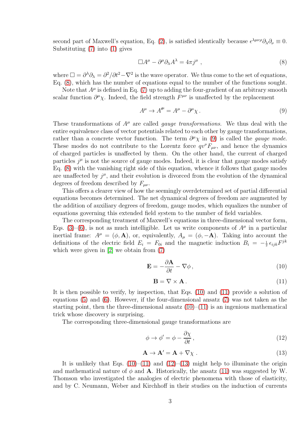second part of Maxwell's equation, Eq. [\(2\)](#page-1-1), is satisfied identically because  $\epsilon^{\lambda\mu\nu\rho}\partial_{\lambda}\partial_{\nu}\equiv 0$ . Substituting [\(7\)](#page-1-4) into [\(1\)](#page-0-1) gives

<span id="page-2-0"></span>
$$
\Box A^{\mu} - \partial^{\mu} \partial_{\lambda} A^{\lambda} = 4\pi j^{\mu} , \qquad (8)
$$

where  $\Box = \partial^{\lambda} \partial_{\lambda} = \partial^{2} / \partial t^{2} - \nabla^{2}$  is the wave operator. We thus come to the set of equations, Eq. [\(8\)](#page-2-0), which has the number of equations equal to the number of the functions sought.

Note that  $A^{\mu}$  is defined in Eq. [\(7\)](#page-1-4) up to adding the four-gradient of an arbitrary smooth scalar function  $\partial^{\mu}\chi$ . Indeed, the field strength  $F^{\mu\nu}$  is unaffected by the replacement

<span id="page-2-1"></span>
$$
A^{\mu} \to A^{\mu} = A^{\mu} - \partial^{\mu} \chi \,. \tag{9}
$$

These transformations of  $A^{\mu}$  are called *gauge transformations*. We thus deal with the entire equivalence class of vector potentials related to each other by gauge transformations, rather than a concrete vector function. The term  $\partial^{\mu}\chi$  in [\(9\)](#page-2-1) is called the *gauge mode*. These modes do not contribute to the Lorentz force  $qv^{\nu}F_{\mu\nu}$ , and hence the dynamics of charged particles is unaffected by them. On the other hand, the current of charged particles  $j^{\mu}$  is not the source of gauge modes. Indeed, it is clear that gauge modes satisfy Eq. [\(8\)](#page-2-0) with the vanishing right side of this equation, whence it follows that gauge modes are unaffected by  $j^{\mu}$ , and their evolution is divorced from the evolution of the dynamical degrees of freedom described by  $F_{\mu\nu}$ .

This offers a clearer view of how the seemingly overdetermined set of partial differential equations becomes determined. The net dynamical degrees of freedom are augmented by the addition of auxiliary degrees of freedom, gauge modes, which equalizes the number of equations governing this extended field system to the number of field variables.

The corresponding treatment of Maxwell's equations in three-dimensional vector form, Eqs.  $(3)-(6)$  $(3)-(6)$ , is not as much intelligible. Let us write components of  $A^{\mu}$  in a particular inertial frame:  $A^{\mu} = (\phi, \mathbf{A})$ , or, equivalently,  $A_{\mu} = (\phi, -\mathbf{A})$ . Taking into account the definitions of the electric field  $E_i = F_{0i}$  and the magnetic induction  $B_i = -\frac{1}{2} \epsilon_{ijk} F^{jk}$ which were given in [\[2\]](#page-8-1) we obtain from  $(7)$ 

<span id="page-2-2"></span>
$$
\mathbf{E} = -\frac{\partial \mathbf{A}}{\partial t} - \nabla \phi \,,\tag{10}
$$

<span id="page-2-3"></span>
$$
\mathbf{B} = \nabla \times \mathbf{A} \,. \tag{11}
$$

It is then possible to verify, by inspection, that Eqs. [\(10\)](#page-2-2) and [\(11\)](#page-2-3) provide a solution of equations [\(5\)](#page-1-5) and [\(6\)](#page-1-3). However, if the four-dimensional ansatz [\(7\)](#page-1-4) was not taken as the starting point, then the three-dimensional ansatz  $(10)$ – $(11)$  is an ingenious mathematical trick whose discovery is surprising.

The corresponding three-dimensional gauge transformations are

<span id="page-2-4"></span>
$$
\phi \to \phi' = \phi - \frac{\partial \chi}{\partial t},\tag{12}
$$

<span id="page-2-5"></span>
$$
\mathbf{A} \to \mathbf{A}' = \mathbf{A} + \nabla \chi \tag{13}
$$

It is unlikely that Eqs.  $(10)–(11)$  $(10)–(11)$  and  $(12)–(13)$  $(12)–(13)$  might help to illuminate the origin and mathematical nature of  $\phi$  and **A**. Historically, the ansatz [\(11\)](#page-2-3) was suggested by W. Thomson who investigated the analogies of electric phenomena with those of elasticity, and by C. Neumann, Weber and Kirchhoff in their studies on the induction of currents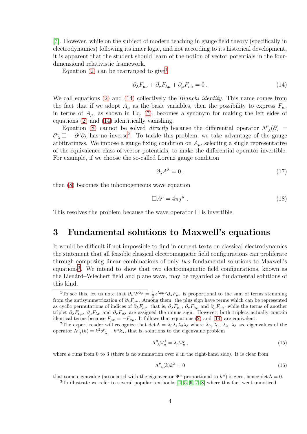[\[3\]](#page-8-2). However, while on the subject of modern teaching in gauge field theory (specifically in electrodynamics) following its inner logic, and not according to its historical development, it is apparent that the student should learn of the notion of vector potentials in the fourdimensional relativistic framework.

Equation [\(2\)](#page-1-1) can be rearranged to give<sup>[1](#page-3-1)</sup>

<span id="page-3-2"></span>
$$
\partial_{\lambda} F_{\mu\nu} + \partial_{\nu} F_{\lambda\mu} + \partial_{\mu} F_{\nu\lambda} = 0. \qquad (14)
$$

We call equations [\(2\)](#page-1-1) and [\(14\)](#page-3-2) collectively the *Bianchi identity*. This name comes from the fact that if we adopt  $A_u$  as the basic variables, then the possibility to express  $F_{u\nu}$ in terms of  $A_{\mu}$ , as shown in Eq. [\(7\)](#page-1-4), becomes a synonym for making the left sides of equations [\(2\)](#page-1-1) and [\(14\)](#page-3-2) identitically vanishing.

Equation [\(8\)](#page-2-0) cannot be solved *directly* because the differential operator  $\Lambda^{\mu}_{\lambda}(\partial)$  =  $\delta^{\mu}_{\ \lambda} \Box - \partial^{\mu} \partial_{\lambda}$  has no inverse<sup>[2](#page-3-3)</sup>. To tackle this problem, we take advantage of the gauge arbitrariness. We impose a gauge fixing condition on  $A_\mu$ , selecting a single representative of the equivalence class of vector potentials, to make the differential operator invertible. For example, if we choose the so-called Lorenz gauge condition

$$
\partial_{\lambda} A^{\lambda} = 0, \tag{17}
$$

then [\(8\)](#page-2-0) becomes the inhomogeneous wave equation

$$
\Box A^{\mu} = 4\pi j^{\mu} \ . \tag{18}
$$

<span id="page-3-0"></span>This resolves the problem because the wave operator  $\Box$  is invertible.

### 3 Fundamental solutions to Maxwell's equations

It would be difficult if not impossible to find in current texts on classical electrodynamics the statement that all feasible classical electromagnetic field configurations can proliferate through composing linear combinations of only two fundamental solutions to Maxwell's equations<sup>[3](#page-3-4)</sup>. We intend to show that two electromagnetic field configurations, known as the Lienárd–Wiechert field and plane wave, may be regarded as fundamental solutions of this kind.

$$
\Lambda^{\mu}_{\ \lambda}\Psi^{\lambda}_{a} = \lambda_{a}\Psi^{\mu}_{a}\,,\tag{15}
$$

where a runs from 0 to 3 (there is no summation over a in the right-hand side). It is clear from

$$
\Lambda^{\mu}_{\ \lambda}(k)k^{\lambda} = 0\tag{16}
$$

that some eigenvalue (associated with the eigenvector  $\Psi^{\mu}$  proportional to  $k^{\mu}$ ) is zero, hence det  $\Lambda = 0$ .

<span id="page-3-4"></span> $3$ To illustrate we refer to several popular textbooks [\[4,](#page-9-0) [5,](#page-9-1) [6,](#page-9-2) [7,](#page-9-3) [8\]](#page-9-4) where this fact went unnoticed.

<span id="page-3-1"></span><sup>&</sup>lt;sup>1</sup>To see this, let us note that  $\partial_{\lambda} {}^*F^{\lambda\rho} = \frac{1}{2} \epsilon^{\lambda\rho\mu\nu} \partial_{\lambda} F_{\mu\nu}$  is proportional to the sum of terms stemming from the antisymmetrization of  $\partial_{\lambda}F_{\mu\nu}$ . Among them, the plus sign have terms which can be represented as cyclic permutations of indices of  $\partial_\lambda F_{\mu\nu}$ , that is,  $\partial_\lambda F_{\mu\nu}$ ,  $\partial_\nu F_{\lambda\mu}$  and  $\partial_\mu F_{\nu\lambda}$ , while the terms of another triplet  $\partial_\lambda F_{\nu\mu}$ ,  $\partial_\mu F_{\lambda\nu}$  and  $\partial_\nu F_{\mu\lambda}$  are assigned the minus sign. However, both triplets actually contain identical terms because  $F_{\mu\nu} = -F_{\nu\mu}$ . It follows that equations [\(2\)](#page-1-1) and [\(14\)](#page-3-2) are equivalent.

<span id="page-3-3"></span><sup>&</sup>lt;sup>2</sup>The expert reader will recognize that det  $\Lambda = \lambda_0 \lambda_1 \lambda_2 \lambda_3$  where  $\lambda_0$ ,  $\lambda_1$ ,  $\lambda_2$ ,  $\lambda_3$  are eigenvalues of the operator  $\Lambda^{\mu}_{\lambda}(k) = k^2 \delta^{\mu}_{\lambda} - k^{\mu} k_{\lambda}$ , that is, solutions to the eigenvalue problem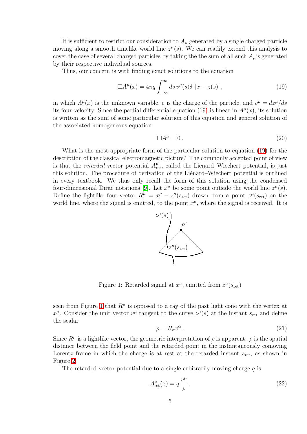It is sufficient to restrict our consideration to  $A_\mu$  generated by a single charged particle moving along a smooth timelike world line  $z^{\mu}(s)$ . We can readily extend this analysis to cover the case of several charged particles by taking the the sum of all such  $A_\mu$ 's generated by their respective individual sources.

Thus, our concern is with finding exact solutions to the equation

<span id="page-4-0"></span>
$$
\Box A^{\mu}(x) = 4\pi q \int_{-\infty}^{\infty} ds \, v^{\mu}(s) \delta^{4}[x - z(s)], \qquad (19)
$$

in which  $A^{\mu}(x)$  is the unknown variable, e is the charge of the particle, and  $v^{\mu} = dz^{\mu}/ds$ its four-velocity. Since the partial differential equation [\(19\)](#page-4-0) is linear in  $A^{\mu}(x)$ , its solution is written as the sum of some particular solution of this equation and general solution of the associated homogeneous equation

<span id="page-4-3"></span>
$$
\Box A^{\mu} = 0. \tag{20}
$$

What is the most appropriate form of the particular solution to equation [\(19\)](#page-4-0) for the description of the classical electromagnetic picture? The commonly accepted point of view is that the *retarded* vector potential  $A_{\text{ret}}^{\mu}$ , called the Liénard–Wiechert potential, is just this solution. The procedure of derivation of the Liénard–Wiechert potential is outlined in every textbook. We thus only recall the form of this solution using the condensed four-dimensional Dirac notations [\[9\]](#page-9-5). Let  $x^{\mu}$  be some point outside the world line  $z^{\mu}(s)$ . Define the lightlike four-vector  $R^{\mu} = x^{\mu} - z^{\mu}(s_{\text{ret}})$  drawn from a point  $z^{\mu}(s_{\text{ret}})$  on the world line, where the signal is emitted, to the point  $x^{\mu}$ , where the signal is received. It is



<span id="page-4-1"></span>Figure 1: Retarded signal at  $x^{\mu}$ , emitted from  $z^{\mu}(s_{\text{ret}})$ 

seen from Figure [1](#page-4-1) that  $R^{\mu}$  is opposed to a ray of the past light cone with the vertex at  $x^{\mu}$ . Consider the unit vector  $v^{\mu}$  tangent to the curve  $z^{\mu}(s)$  at the instant  $s_{\text{ret}}$  and define the scalar

$$
\rho = R_{\alpha} v^{\alpha} \,. \tag{21}
$$

Since  $R^{\mu}$  is a lightlike vector, the geometric interpretation of  $\rho$  is apparent:  $\rho$  is the spatial distance between the field point and the retarded point in the instantaneously comoving Lorentz frame in which the charge is at rest at the retarded instant  $s_{\text{ret}}$ , as shown in Figure [2.](#page-5-0)

The retarded vector potential due to a single arbitrarily moving charge  $q$  is

<span id="page-4-2"></span>
$$
A_{\rm ret}^{\mu}(x) = q \frac{v^{\mu}}{\rho}.
$$
\n(22)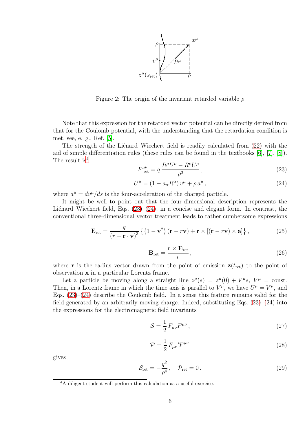

<span id="page-5-0"></span>Figure 2: The origin of the invariant retarded variable  $\rho$ 

Note that this expression for the retarded vector potential can be directly derived from that for the Coulomb potential, with the understanding that the retardation condition is met, see, e. g., Ref. [\[5\]](#page-9-1).

The strength of the Lienard–Wiechert field is readily calculated from  $(22)$  with the aid of simple differentiation rules (these rules can be found in the textbooks [\[6\]](#page-9-2), [\[7\]](#page-9-3), [\[8\]](#page-9-4)). The result is<sup>[4](#page-5-1)</sup>

<span id="page-5-2"></span>
$$
F^{\mu\nu}_{\text{ret}} = q \frac{R^{\mu}U^{\nu} - R^{\nu}U^{\mu}}{\rho^3},\tag{23}
$$

<span id="page-5-3"></span>
$$
U^{\mu} = (1 - a_{\alpha} R^{\alpha}) v^{\mu} + \rho a^{\mu}, \qquad (24)
$$

where  $a^{\mu} = dv^{\mu}/ds$  is the four-acceleration of the charged particle.

It might be well to point out that the four-dimensional description represents the Liénard–Wiechert field, Eqs.  $(23)$ – $(24)$ , in a concise and elegant form. In contrast, the conventional three-dimensional vector treatment leads to rather cumbersome expressions

$$
\mathbf{E}_{\rm ret} = \frac{q}{(r - \mathbf{r} \cdot \mathbf{v})^3} \left\{ \left(1 - \mathbf{v}^2\right) (\mathbf{r} - r\mathbf{v}) + \mathbf{r} \times \left[ (\mathbf{r} - r\mathbf{v}) \times \mathbf{a} \right] \right\},\tag{25}
$$

$$
\mathbf{B}_{\rm ret} = \frac{\mathbf{r} \times \mathbf{E}_{\rm ret}}{r},\tag{26}
$$

where **r** is the radius vector drawn from the point of emission  $z(t_{\text{ret}})$  to the point of observation x in a particular Lorentz frame.

Let a particle be moving along a straight line  $z^{\mu}(s) = z^{\mu}(0) + V^{\mu}s$ ,  $V^{\mu} = \text{const.}$ Then, in a Lorentz frame in which the time axis is parallel to  $V^{\mu}$ , we have  $U^{\mu} = V^{\mu}$ , and Eqs.  $(23)-(24)$  $(23)-(24)$  describe the Coulomb field. In a sense this feature remains valid for the field generated by an arbitrarily moving charge. Indeed, substituting Eqs.  $(23)$ – $(24)$  into the expressions for the electromagnetic field invariants

$$
S = \frac{1}{2} F_{\mu\nu} F^{\mu\nu} , \qquad (27)
$$

$$
\mathcal{P} = \frac{1}{2} F_{\mu\nu}{}^* F^{\mu\nu} \tag{28}
$$

gives

$$
\mathcal{S}_{\text{ret}} = -\frac{q^2}{\rho^4}, \quad \mathcal{P}_{\text{ret}} = 0. \tag{29}
$$

<span id="page-5-1"></span><sup>4</sup>A diligent student will perform this calculation as a useful exercise.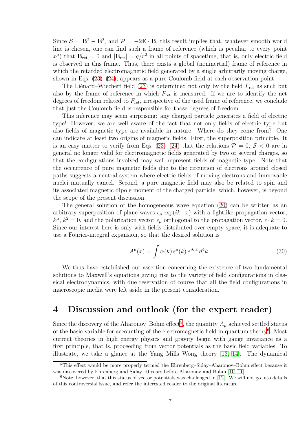Since  $S = \mathbf{B}^2 - \mathbf{E}^2$ , and  $\mathcal{P} = -2\mathbf{E} \cdot \mathbf{B}$ , this result implies that, whatever smooth world line is chosen, one can find such a frame of reference (which is peculiar to every point  $x^{\mu}$ ) that  $\mathbf{B}_{\text{ret}} = 0$  and  $|\mathbf{E}_{\text{ret}}| = q/r^2$  in all points of spacetime, that is, only electric field is observed in this frame. Thus, there exists a global (noninertial) frame of reference in which the retarded electromagnetic field generated by a single arbitrarily moving charge, shown in Eqs.  $(23)$ – $(24)$ , appears as a pure Coulomb field at each observation point.

The Liénard–Wiechert field [\(23\)](#page-5-2) is determined not only by the field  $F_{\text{ret}}$  as such but also by the frame of reference in which  $F_{\text{ret}}$  is measured. If we are to identify the net degrees of freedom related to  $F_{\text{ret}}$ , irrespective of the used frame of reference, we conclude that just the Coulomb field is responsible for those degrees of freedom.

This inference may seem surprising: any charged particle generates a field of electric type! However, we are well aware of the fact that not only fields of electric type but also fields of magnetic type are available in nature. Where do they come from? One can indicate at least two origins of magnetic fields. First, the superposition principle. It is an easy matter to verify from Eqs. [\(23\)](#page-5-2)–[\(24\)](#page-5-3) that the relations  $\mathcal{P} = 0$ ,  $\mathcal{S} < 0$  are in general no longer valid for electromagnetic fields generated by two or several charges, so that the configurations involved may well represent fields of magnetic type. Note that the occurrence of pure magnetic fields due to the circuition of electrons around closed paths suggests a neutral system where electric fields of moving electrons and immovable nuclei mutually cancel. Second, a pure magnetic field may also be related to spin and its associated magnetic dipole moment of the charged particle, which, however, is beyond the scope of the present discussion.

The general solution of the homogeneous wave equation [\(20\)](#page-4-3) can be written as an arbitrary superposition of plane waves  $\epsilon_{\mu} \exp(ik \cdot x)$  with a lightlike propagation vector,  $k^{\mu}, k^2 = 0$ , and the polarization vector  $\epsilon_{\mu}$  orthogonal to the propagation vector,  $\epsilon \cdot k = 0$ . Since our interest here is only with fields distributed over empty space, it is adequate to use a Fourier-integral expansion, so that the desired solution is

<span id="page-6-3"></span>
$$
A^{\mu}(x) = \int \alpha(k) \,\epsilon^{\mu}(k) \, e^{ik \cdot x} \, d^4k \,. \tag{30}
$$

We thus have established our assertion concerning the existence of two fundamental solutions to Maxwell's equations giving rise to the variety of field configurations in classical electrodynamics, with due reservation of course that all the field configurations in macroscopic media were left aside in the present consideration.

# <span id="page-6-0"></span>4 Discussion and outlook (for the expert reader)

Since the discovery of the Aharonov–Bohm effect<sup>[5](#page-6-1)</sup>, the quantity  $A_\mu$  achieved settled status of the basic variable for accounting of the electromagnetic field in quantum theory<sup>[6](#page-6-2)</sup>. Most current theories in high energy physics and gravity begin with gauge invariance as a first principle, that is, proceeding from vector potentials as the basic field variables. To illustrate, we take a glance at the Yang–Mills–Wong theory [\[13,](#page-9-6) [14\]](#page-9-7). The dynamical

<span id="page-6-1"></span><sup>5</sup>This effect would be more properly termed the Ehrenberg–Siday–Aharonov–Bohm effect because it was discovered by Ehrenberg and Siday 10 years before Aharonov and Bohm [\[10,](#page-9-8) [11\]](#page-9-9).

<span id="page-6-2"></span> $6$ Note, however, that this status of vector potentials was challenged in [\[12\]](#page-9-10). We will not go into details of this controversial issue, and refer the interested reader to the original literature.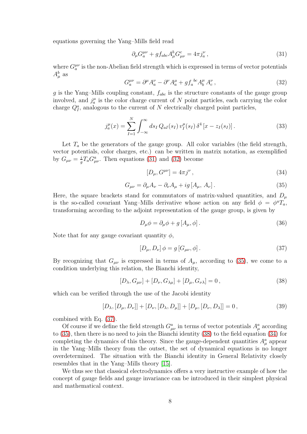equations governing the Yang–Mills field read

<span id="page-7-0"></span>
$$
\partial_{\mu} G^{\mu\nu}_a + g f_{abc} A^b_{\mu} G^c_{\mu\nu} = 4\pi j^\nu_a \,, \tag{31}
$$

where  $G_a^{\mu\nu}$  is the non-Abelian field strength which is expressed in terms of vector potentials  $A^b_\mu$  as

<span id="page-7-1"></span>
$$
G_a^{\mu\nu} = \partial^{\mu} A_a^{\nu} - \partial^{\nu} A_a^{\mu} + g f_a^{bc} A_b^{\mu} A_c^{\nu} , \qquad (32)
$$

g is the Yang–Mills coupling constant,  $f_{abc}$  is the structure constants of the gauge group involved, and  $j_a^{\mu}$  is the color charge current of N point particles, each carrying the color charge  $Q_I^a$ , analogous to the current of N electrically charged point particles,

$$
j_a^{\mu}(x) = \sum_{I=1}^{N} \int_{-\infty}^{\infty} ds_I Q_{aI}(s_I) v_I^{\mu}(s_I) \, \delta^4 \left[ x - z_I(s_I) \right]. \tag{33}
$$

Let  $T_a$  be the generators of the gauge group. All color variables (the field strength, vector potentials, color charges, etc.) can be written in matrix notation, as exemplified by  $G_{\mu\nu}=\frac{i}{a}$  $\frac{i}{g}T_aG^a_{\mu\nu}$ . Then equations [\(31\)](#page-7-0) and [\(32\)](#page-7-1) become

<span id="page-7-5"></span>
$$
[D_{\mu}, G^{\mu\nu}] = 4\pi j^{\nu} , \qquad (34)
$$

<span id="page-7-2"></span>
$$
G_{\mu\nu} = \partial_{\mu}A_{\nu} - \partial_{\nu}A_{\mu} + ig[A_{\mu}, A_{\nu}].
$$
\n(35)

Here, the square brackets stand for commutators of matrix-valued quantities, and  $D_{\mu}$ is the so-called covariant Yang–Mills derivative whose action on any field  $\phi = \phi^a T_a$ , transforming according to the adjoint representation of the gauge group, is given by

$$
D_{\mu}\phi = \partial_{\mu}\phi + g\left[A_{\mu}, \phi\right].\tag{36}
$$

Note that for any gauge covariant quantity  $\phi$ ,

<span id="page-7-3"></span>
$$
[D_{\mu}, D_{\nu}] \phi = g [G_{\mu\nu}, \phi]. \qquad (37)
$$

By recognizing that  $G_{\mu\nu}$  is expressed in terms of  $A_{\mu}$ , according to [\(35\)](#page-7-2), we come to a condition underlying this relation, the Bianchi identity,

<span id="page-7-4"></span>
$$
[D_{\lambda}, G_{\mu\nu}] + [D_{\nu}, G_{\lambda\mu}] + [D_{\mu}, G_{\nu\lambda}] = 0, \qquad (38)
$$

which can be verified through the use of the Jacobi identity

$$
[D_{\lambda}, [D_{\mu}, D_{\nu}]] + [D_{\nu}, [D_{\lambda}, D_{\mu}]] + [D_{\mu}, [D_{\nu}, D_{\lambda}]] = 0, \qquad (39)
$$

combined with Eq. [\(37\)](#page-7-3).

Of course if we define the field strength  $G^a_{\mu\nu}$  in terms of vector potentials  $A^a_\mu$  according to [\(35\)](#page-7-2), then there is no need to join the Bianchi identity [\(38\)](#page-7-4) to the field equation [\(34\)](#page-7-5) for completing the dynamics of this theory. Since the gauge-dependent quantities  $A^a_\mu$  appear in the Yang–Mills theory from the outset, the set of dynamical equations is no longer overdetermined. The situation with the Bianchi identity in General Relativity closely resembles that in the Yang–Mills theory [\[15\]](#page-9-11).

We thus see that classical electrodynamics offers a very instructive example of how the concept of gauge fields and gauge invariance can be introduced in their simplest physical and mathematical context.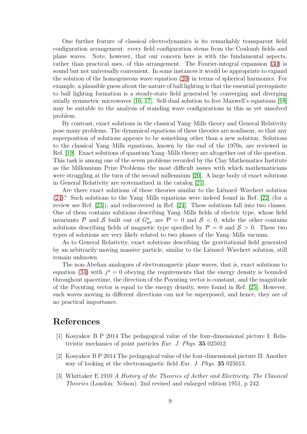One further feature of classical electrodynamics is its remarkably transparent field configuration arrangement: every field configuration stems from the Coulomb fields and plane waves. Note, however, that our concern here is with the fundamental aspects, rather than practical uses, of this arrangement. The Fourier-integral expansion [\(30\)](#page-6-3) is sound but not universally convenient. In some instances it would be appropriate to expand the solution of the homogeneous wave equation [\(20\)](#page-4-3) in terms of spherical harmonics. For example, a plausible guess about the nature of ball lighting is that the essential prerequisite to ball lighting formation is a steady-state field generated by converging and diverging axially symmetric microwaves [\[16,](#page-9-12) [17\]](#page-9-13). Self-dual solution to free Maxwell's equations [\[18\]](#page-9-14) may be suitable to the analysis of standing wave configurations in this as yet unsolved problem.

By contrast, exact solutions in the classical Yang–Mills theory and General Relativity pose many problems. The dynamical equations of these theories are nonlinear, so that any superposition of solutions appears to be something other than a new solution. Solutions to the classical Yang–Mills equations, known by the end of the 1970s, are reviewed in Ref. [\[19\]](#page-9-15). Exact solutions of quantum Yang–Mills theory are altogether out of the question. This task is among one of the seven problems recorded by the Clay Mathematics Institute as the Millennium Prize Problems–the most difficult issues with which mathematicians were struggling at the turn of the second millennium [\[20\]](#page-9-16). A large body of exact solutions in General Relativity are systematized in the catalog [\[21\]](#page-9-17).

Are there exact solutions of these theories similar to the Liénard–Wiechert solution [\(24\)](#page-5-3)? Such solutions to the Yang–Mills equations were indeed found in Ref. [\[22\]](#page-10-0) (for a review see Ref. [\[23\]](#page-10-1)), and rediscovered in Ref. [\[24\]](#page-10-2). These solutions fall into two classes. One of them contains solutions describing Yang–Mills fields of electric type, whose field invariants P and S built out of  $G^a_{\mu\nu}$  are  $\mathcal{P} = 0$  and  $\mathcal{S} < 0$ , while the other contains solutions describing fields of magnetic type specified by  $P = 0$  and  $S > 0$ . These two types of solutions are very likely related to two phases of the Yang–Mills vacuum.

As to General Relativity, exact solutions describing the gravitational field generated by an arbitrarily moving massive particle, similar to the Lienard–Wiechert solution, still remain unknown.

The non-Abelian analogues of electromagnetic plane waves, that is, exact solutions to equation [\(34\)](#page-7-5) with  $j^{\mu} = 0$  obeying the requirements that the energy density is bounded throughout spacetime, the direction of the Poynting vector is constant, and the magnitude of the Poynting vector is equal to the energy density, were found in Ref. [\[25\]](#page-10-3). However, such waves moving in different directions can not be superposed, and hence, they are of no practical importance.

### <span id="page-8-0"></span>References

- [1] Kosyakov B P 2014 The pedagogical value of the four-dimensional picture I: Relativistic mechanics of point particles Eur. J. Phys. 35 025012.
- <span id="page-8-1"></span>[2] Kosyakov B P 2014 The pedagogical value of the four-dimensional picture II: Another way of looking at the electromagnetic field *Eur. J. Phys.* **35** 025013.
- <span id="page-8-2"></span>[3] Whittaker E 1910 A History of the Theories of Aether and Electricity. The Classical Theories (London: Nelson). 2nd revised and enlarged edition 1951, p 242.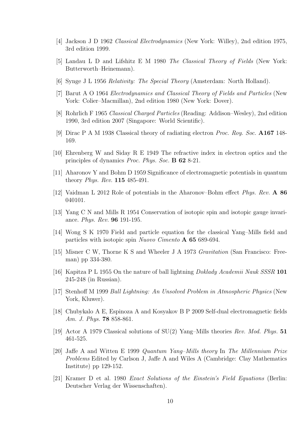- <span id="page-9-1"></span><span id="page-9-0"></span>[4] Jackson J D 1962 Classical Electrodynamics (New York: Willey), 2nd edition 1975, 3rd edition 1999.
- <span id="page-9-2"></span>[5] Landau L D and Lifshitz E M 1980 The Classical Theory of Fields (New York: Butterworth–Heinemann).
- <span id="page-9-3"></span>[6] Synge J L 1956 Relativity: The Special Theory (Amsterdam: North Holland).
- <span id="page-9-4"></span>[7] Barut A O 1964 Electrodynamics and Classical Theory of Fields and Particles (New York: Colier–Macmillan), 2nd edition 1980 (New York: Dover).
- <span id="page-9-5"></span>[8] Rohrlich F 1965 Classical Charged Particles (Reading: Addison–Wesley), 2nd edition 1990, 3rd edition 2007 (Singapore: World Scientific).
- <span id="page-9-8"></span>[9] Dirac P A M 1938 Classical theory of radiating electron Proc. Roy. Soc. A167 148- 169.
- <span id="page-9-9"></span>[10] Ehrenberg W and Siday R E 1949 The refractive index in electron optics and the principles of dynamics Proc. Phys. Soc. B 62 8-21.
- <span id="page-9-10"></span>[11] Aharonov Y and Bohm D 1959 Significance of electromagnetic potentials in quantum theory Phys. Rev. 115 485-491.
- <span id="page-9-6"></span>[12] Vaidman L 2012 Role of potentials in the Aharonov–Bohm effect Phys. Rev. A 86 040101.
- <span id="page-9-7"></span>[13] Yang C N and Mills R 1954 Conservation of isotopic spin and isotopic gauge invariance. Phys. Rev. 96 191-195.
- <span id="page-9-11"></span>[14] Wong S K 1970 Field and particle equation for the classical Yang–Mills field and particles with isotopic spin Nuovo Cimento A 65 689-694.
- <span id="page-9-12"></span>[15] Misner C W, Thorne K S and Wheeler J A 1973 Gravitation (San Francisco: Freeman) pp 334-380.
- [16] Kapitza P L 1955 On the nature of ball lightning Doklady Academii Nauk SSSR 101 245-248 (in Russian).
- <span id="page-9-13"></span>[17] Stenhoff M 1999 Ball Lightning: An Unsolved Problem in Atmospheric Physics (New York, Kluwer).
- <span id="page-9-15"></span><span id="page-9-14"></span>[18] Chubykalo A E, Espinoza A and Kosyakov B P 2009 Self-dual electromagnetic fields Am. J. Phys. **78** 858-861.
- <span id="page-9-16"></span>[19] Actor A 1979 Classical solutions of SU(2) Yang–Mills theories Rev. Mod. Phys. 51 461-525.
- [20] Jaffe A and Witten E 1999 Quantum Yang–Mills theory In The Millennium Prize Problems Edited by Carlson J, Jaffe A and Wiles A (Cambridge: Clay Mathematics Institute) pp 129-152.
- <span id="page-9-17"></span>[21] Kramer D et al. 1980 Exact Solutions of the Einstein's Field Equations (Berlin: Deutscher Verlag der Wissenschaften).